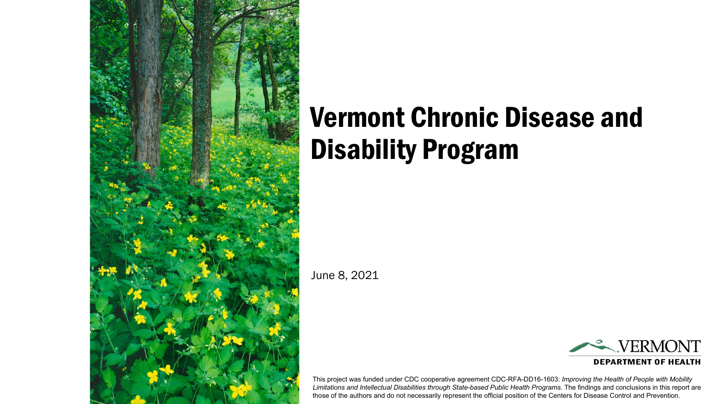

# Vermont Chronic Disease and Disability Program

June 8, 2021

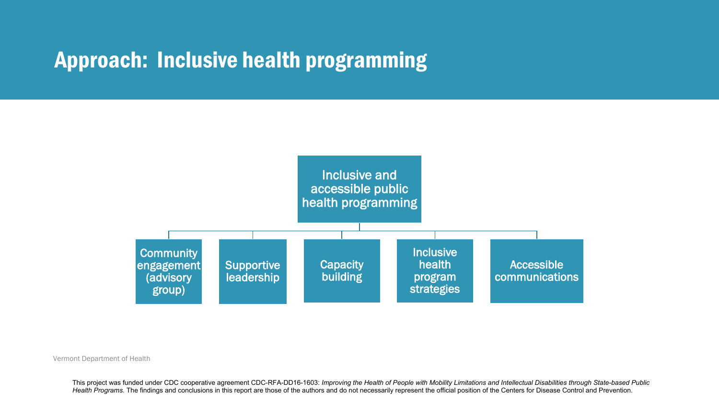#### Approach: Inclusive health programming



#### Vermont Department of Health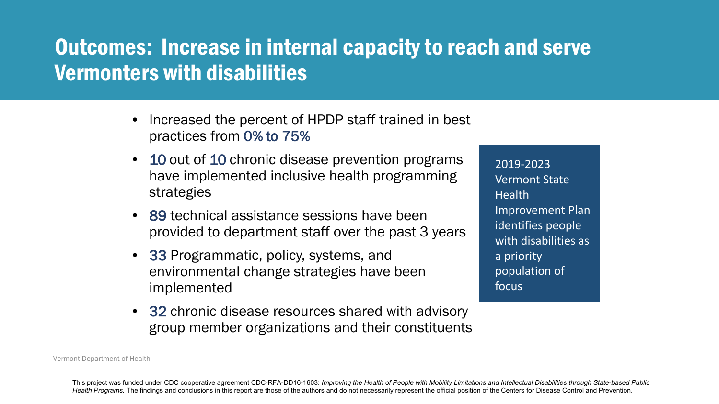# Outcomes: Increase in internal capacity to reach and serve Vermonters with disabilities

- Increased the percent of HPDP staff trained in best practices from 0% to 75%
- 10 out of 10 chronic disease prevention programs have implemented inclusive health programming strategies
- 89 technical assistance sessions have been provided to department staff over the past 3 years
- 33 Programmatic, policy, systems, and environmental change strategies have been implemented
- 32 chronic disease resources shared with advisory group member organizations and their constituents

2019-2023 Vermont State **Health** Improvement Plan identifies people with disabilities as a priority population of focus

Vermont Department of Health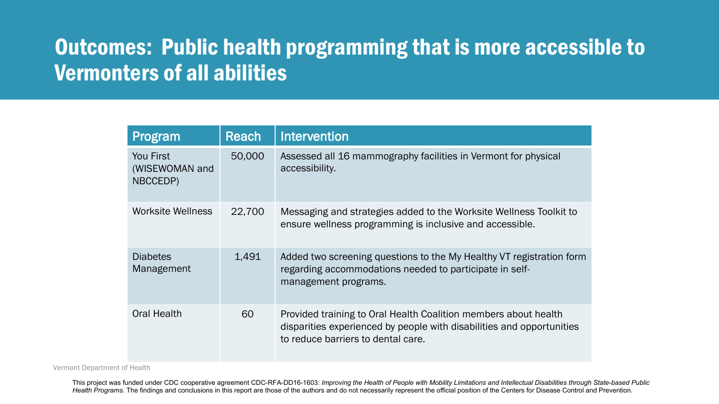# Outcomes: Public health programming that is more accessible to Vermonters of all abilities

| Program                                 | Reach  | Intervention                                                                                                                                                                   |
|-----------------------------------------|--------|--------------------------------------------------------------------------------------------------------------------------------------------------------------------------------|
| You First<br>(WISEWOMAN and<br>NBCCEDP) | 50,000 | Assessed all 16 mammography facilities in Vermont for physical<br>accessibility.                                                                                               |
| Worksite Wellness                       | 22,700 | Messaging and strategies added to the Worksite Wellness Toolkit to<br>ensure wellness programming is inclusive and accessible.                                                 |
| <b>Diabetes</b><br>Management           | 1,491  | Added two screening questions to the My Healthy VT registration form<br>regarding accommodations needed to participate in self-<br>management programs.                        |
| <b>Oral Health</b>                      | 60     | Provided training to Oral Health Coalition members about health<br>disparities experienced by people with disabilities and opportunities<br>to reduce barriers to dental care. |

Vermont Department of Health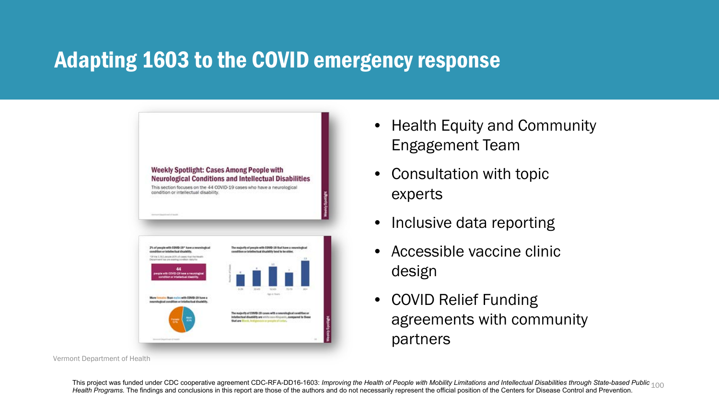## Adapting 1603 to the COVID emergency response



Vermont Department of Health

- Health Equity and Community Engagement Team
- Consultation with topic experts
- Inclusive data reporting
- Accessible vaccine clinic design
- COVID Relief Funding agreements with community partners